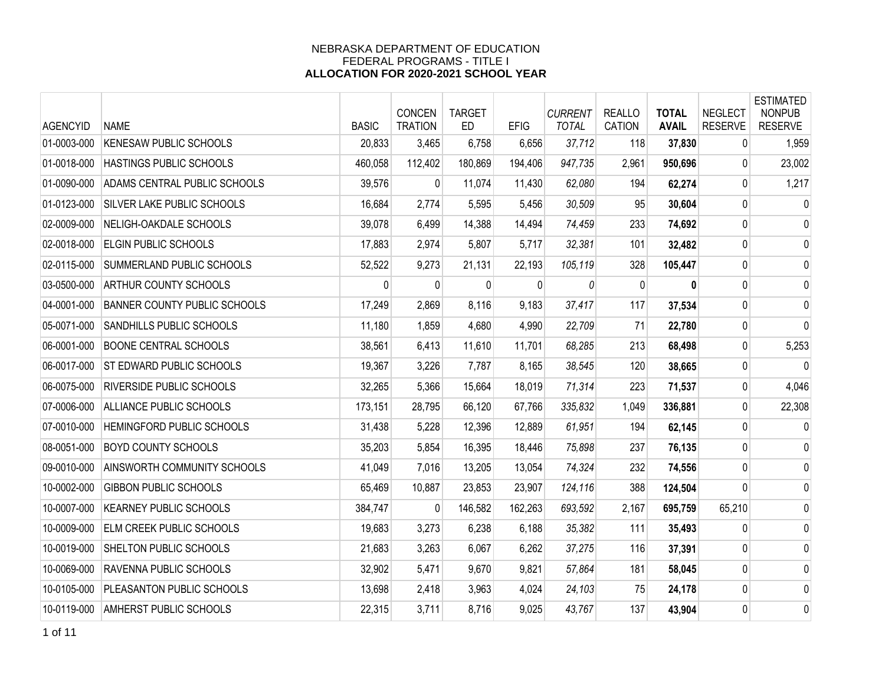| <b>AGENCYID</b> | <b>NAME</b>                         | <b>BASIC</b> | CONCEN<br><b>TRATION</b> | <b>TARGET</b><br><b>ED</b> | <b>EFIG</b>  | <b>CURRENT</b><br><b>TOTAL</b> | <b>REALLO</b><br><b>CATION</b> | <b>TOTAL</b><br><b>AVAIL</b> | <b>NEGLECT</b><br><b>RESERVE</b> | <b>ESTIMATED</b><br><b>NONPUB</b><br><b>RESERVE</b> |
|-----------------|-------------------------------------|--------------|--------------------------|----------------------------|--------------|--------------------------------|--------------------------------|------------------------------|----------------------------------|-----------------------------------------------------|
| 01-0003-000     | <b>KENESAW PUBLIC SCHOOLS</b>       | 20,833       | 3,465                    | 6,758                      | 6,656        | 37,712                         | 118                            | 37,830                       | 0                                | 1,959                                               |
| 01-0018-000     | HASTINGS PUBLIC SCHOOLS             | 460,058      | 112,402                  | 180,869                    | 194,406      | 947,735                        | 2,961                          | 950,696                      | 0                                | 23,002                                              |
| 01-0090-000     | ADAMS CENTRAL PUBLIC SCHOOLS        | 39,576       | $\mathbf{0}$             | 11,074                     | 11,430       | 62,080                         | 194                            | 62,274                       | 0                                | 1,217                                               |
| 01-0123-000     | <b>SILVER LAKE PUBLIC SCHOOLS</b>   | 16,684       | 2,774                    | 5,595                      | 5,456        | 30,509                         | 95                             | 30,604                       | 0                                | 0                                                   |
| 02-0009-000     | NELIGH-OAKDALE SCHOOLS              | 39,078       | 6,499                    | 14,388                     | 14,494       | 74,459                         | 233                            | 74,692                       | 0                                | 0                                                   |
| 02-0018-000     | ELGIN PUBLIC SCHOOLS                | 17,883       | 2,974                    | 5,807                      | 5,717        | 32,381                         | 101                            | 32,482                       | 0                                | 0                                                   |
| 02-0115-000     | SUMMERLAND PUBLIC SCHOOLS           | 52,522       | 9,273                    | 21,131                     | 22,193       | 105,119                        | 328                            | 105,447                      | $\mathbf 0$                      | 0                                                   |
| 03-0500-000     | ARTHUR COUNTY SCHOOLS               | 0            | $\mathbf{0}$             | 0                          | $\mathbf{0}$ | 0                              | 0                              | $\mathbf{0}$                 | 0                                | $\mathbf 0$                                         |
| 04-0001-000     | <b>BANNER COUNTY PUBLIC SCHOOLS</b> | 17,249       | 2,869                    | 8,116                      | 9,183        | 37,417                         | 117                            | 37,534                       | 0                                | 0                                                   |
| 05-0071-000     | SANDHILLS PUBLIC SCHOOLS            | 11,180       | 1,859                    | 4,680                      | 4,990        | 22,709                         | 71                             | 22,780                       | 0                                | $\mathbf 0$                                         |
| 06-0001-000     | <b>BOONE CENTRAL SCHOOLS</b>        | 38,561       | 6,413                    | 11,610                     | 11,701       | 68,285                         | 213                            | 68,498                       | 0                                | 5,253                                               |
| 06-0017-000     | <b>ST EDWARD PUBLIC SCHOOLS</b>     | 19,367       | 3,226                    | 7,787                      | 8,165        | 38,545                         | 120                            | 38,665                       | 0                                | 0                                                   |
| 06-0075-000     | <b>RIVERSIDE PUBLIC SCHOOLS</b>     | 32,265       | 5,366                    | 15,664                     | 18,019       | 71,314                         | 223                            | 71,537                       | 0                                | 4,046                                               |
| 07-0006-000     | ALLIANCE PUBLIC SCHOOLS             | 173,151      | 28,795                   | 66,120                     | 67,766       | 335,832                        | 1,049                          | 336,881                      | 0                                | 22,308                                              |
| 07-0010-000     | <b>HEMINGFORD PUBLIC SCHOOLS</b>    | 31,438       | 5,228                    | 12,396                     | 12,889       | 61,951                         | 194                            | 62,145                       | 0                                | $\mathbf 0$                                         |
| 08-0051-000     | BOYD COUNTY SCHOOLS                 | 35,203       | 5,854                    | 16,395                     | 18,446       | 75,898                         | 237                            | 76,135                       | 0                                | 0                                                   |
| 09-0010-000     | AINSWORTH COMMUNITY SCHOOLS         | 41,049       | 7,016                    | 13,205                     | 13,054       | 74,324                         | 232                            | 74,556                       | $\mathbf{0}$                     | 0                                                   |
| 10-0002-000     | <b>GIBBON PUBLIC SCHOOLS</b>        | 65,469       | 10,887                   | 23,853                     | 23,907       | 124,116                        | 388                            | 124,504                      | $\mathbf 0$                      | 0                                                   |
| 10-0007-000     | <b>KEARNEY PUBLIC SCHOOLS</b>       | 384,747      | $\mathbf{0}$             | 146,582                    | 162,263      | 693,592                        | 2,167                          | 695,759                      | 65,210                           | 0                                                   |
| 10-0009-000     | ELM CREEK PUBLIC SCHOOLS            | 19,683       | 3,273                    | 6,238                      | 6,188        | 35,382                         | 111                            | 35,493                       | 0                                | 0                                                   |
| 10-0019-000     | SHELTON PUBLIC SCHOOLS              | 21,683       | 3,263                    | 6,067                      | 6,262        | 37,275                         | 116                            | 37,391                       | $\mathbf{0}$                     | 0                                                   |
| 10-0069-000     | RAVENNA PUBLIC SCHOOLS              | 32,902       | 5,471                    | 9,670                      | 9,821        | 57,864                         | 181                            | 58,045                       | 0                                | 0                                                   |
| 10-0105-000     | PLEASANTON PUBLIC SCHOOLS           | 13,698       | 2,418                    | 3,963                      | 4,024        | 24,103                         | 75                             | 24,178                       | 0                                | 0                                                   |
| 10-0119-000     | AMHERST PUBLIC SCHOOLS              | 22,315       | 3,711                    | 8,716                      | 9,025        | 43,767                         | 137                            | 43,904                       | $\mathbf 0$                      | 0                                                   |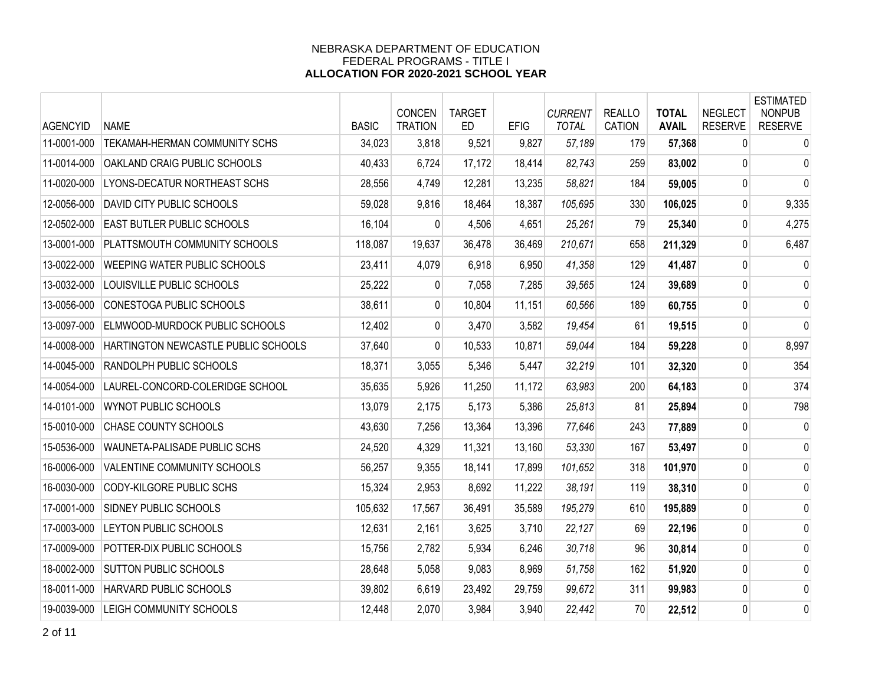| <b>AGENCYID</b> | <b>NAME</b>                          | <b>BASIC</b> | CONCEN<br><b>TRATION</b> | <b>TARGET</b><br><b>ED</b> | <b>EFIG</b> | <b>CURRENT</b><br><b>TOTAL</b> | <b>REALLO</b><br>CATION | <b>TOTAL</b><br><b>AVAIL</b> | <b>NEGLECT</b><br><b>RESERVE</b> | <b>ESTIMATED</b><br><b>NONPUB</b><br><b>RESERVE</b> |
|-----------------|--------------------------------------|--------------|--------------------------|----------------------------|-------------|--------------------------------|-------------------------|------------------------------|----------------------------------|-----------------------------------------------------|
| 11-0001-000     | <b>TEKAMAH-HERMAN COMMUNITY SCHS</b> | 34,023       | 3,818                    | 9,521                      | 9,827       | 57,189                         | 179                     | 57,368                       | 0                                | 0                                                   |
| 11-0014-000     | OAKLAND CRAIG PUBLIC SCHOOLS         | 40,433       | 6,724                    | 17,172                     | 18,414      | 82,743                         | 259                     | 83,002                       | 0                                | 0                                                   |
| 11-0020-000     | LYONS-DECATUR NORTHEAST SCHS         | 28,556       | 4,749                    | 12,281                     | 13,235      | 58,821                         | 184                     | 59,005                       | 0                                | $\mathbf{0}$                                        |
| 12-0056-000     | DAVID CITY PUBLIC SCHOOLS            | 59,028       | 9,816                    | 18,464                     | 18,387      | 105,695                        | 330                     | 106,025                      | 0                                | 9,335                                               |
| 12-0502-000     | <b>EAST BUTLER PUBLIC SCHOOLS</b>    | 16,104       | 0                        | 4,506                      | 4,651       | 25,261                         | 79                      | 25,340                       | 0                                | 4,275                                               |
| 13-0001-000     | PLATTSMOUTH COMMUNITY SCHOOLS        | 118,087      | 19,637                   | 36,478                     | 36,469      | 210,671                        | 658                     | 211,329                      | 0                                | 6,487                                               |
| 13-0022-000     | <b>WEEPING WATER PUBLIC SCHOOLS</b>  | 23,411       | 4,079                    | 6,918                      | 6,950       | 41,358                         | 129                     | 41,487                       | 0                                | $\mathbf 0$                                         |
| 13-0032-000     | LOUISVILLE PUBLIC SCHOOLS            | 25,222       | $\mathbf{0}$             | 7,058                      | 7,285       | 39,565                         | 124                     | 39,689                       | 0                                | 0                                                   |
| 13-0056-000     | CONESTOGA PUBLIC SCHOOLS             | 38,611       | 0                        | 10,804                     | 11,151      | 60,566                         | 189                     | 60,755                       | 0                                | $\mathbf 0$                                         |
| 13-0097-000     | ELMWOOD-MURDOCK PUBLIC SCHOOLS       | 12,402       | 0                        | 3,470                      | 3,582       | 19,454                         | 61                      | 19,515                       | 0                                | $\mathbf 0$                                         |
| 14-0008-000     | HARTINGTON NEWCASTLE PUBLIC SCHOOLS  | 37,640       | 0                        | 10,533                     | 10,871      | 59,044                         | 184                     | 59,228                       | 0                                | 8,997                                               |
| 14-0045-000     | RANDOLPH PUBLIC SCHOOLS              | 18,371       | 3,055                    | 5,346                      | 5,447       | 32,219                         | 101                     | 32,320                       | 0                                | 354                                                 |
| 14-0054-000     | LAUREL-CONCORD-COLERIDGE SCHOOL      | 35,635       | 5,926                    | 11,250                     | 11,172      | 63,983                         | 200                     | 64,183                       | 0                                | 374                                                 |
| 14-0101-000     | WYNOT PUBLIC SCHOOLS                 | 13,079       | 2,175                    | 5,173                      | 5,386       | 25,813                         | 81                      | 25,894                       | 0                                | 798                                                 |
| 15-0010-000     | <b>CHASE COUNTY SCHOOLS</b>          | 43,630       | 7,256                    | 13,364                     | 13,396      | 77,646                         | 243                     | 77,889                       | 0                                | 0                                                   |
| 15-0536-000     | WAUNETA-PALISADE PUBLIC SCHS         | 24,520       | 4,329                    | 11,321                     | 13,160      | 53,330                         | 167                     | 53,497                       | 0                                | 0                                                   |
| 16-0006-000     | VALENTINE COMMUNITY SCHOOLS          | 56,257       | 9,355                    | 18,141                     | 17,899      | 101,652                        | 318                     | 101,970                      | 0                                | 0                                                   |
| 16-0030-000     | CODY-KILGORE PUBLIC SCHS             | 15,324       | 2,953                    | 8,692                      | 11,222      | 38,191                         | 119                     | 38,310                       | 0                                | $\mathbf 0$                                         |
| 17-0001-000     | <b>SIDNEY PUBLIC SCHOOLS</b>         | 105,632      | 17,567                   | 36,491                     | 35,589      | 195,279                        | 610                     | 195,889                      | 0                                | $\mathbf 0$                                         |
| 17-0003-000     | LEYTON PUBLIC SCHOOLS                | 12,631       | 2,161                    | 3,625                      | 3,710       | 22,127                         | 69                      | 22,196                       | 0                                | 0                                                   |
| 17-0009-000     | POTTER-DIX PUBLIC SCHOOLS            | 15,756       | 2,782                    | 5,934                      | 6,246       | 30,718                         | 96                      | 30,814                       | 0                                | 0                                                   |
| 18-0002-000     | <b>SUTTON PUBLIC SCHOOLS</b>         | 28,648       | 5,058                    | 9,083                      | 8,969       | 51,758                         | 162                     | 51,920                       | 0                                | 0                                                   |
| 18-0011-000     | HARVARD PUBLIC SCHOOLS               | 39,802       | 6,619                    | 23,492                     | 29,759      | 99,672                         | 311                     | 99,983                       | 0                                | $\mathbf 0$                                         |
| 19-0039-000     | LEIGH COMMUNITY SCHOOLS              | 12,448       | 2,070                    | 3,984                      | 3,940       | 22,442                         | 70                      | 22,512                       | 0                                | $\mathbf 0$                                         |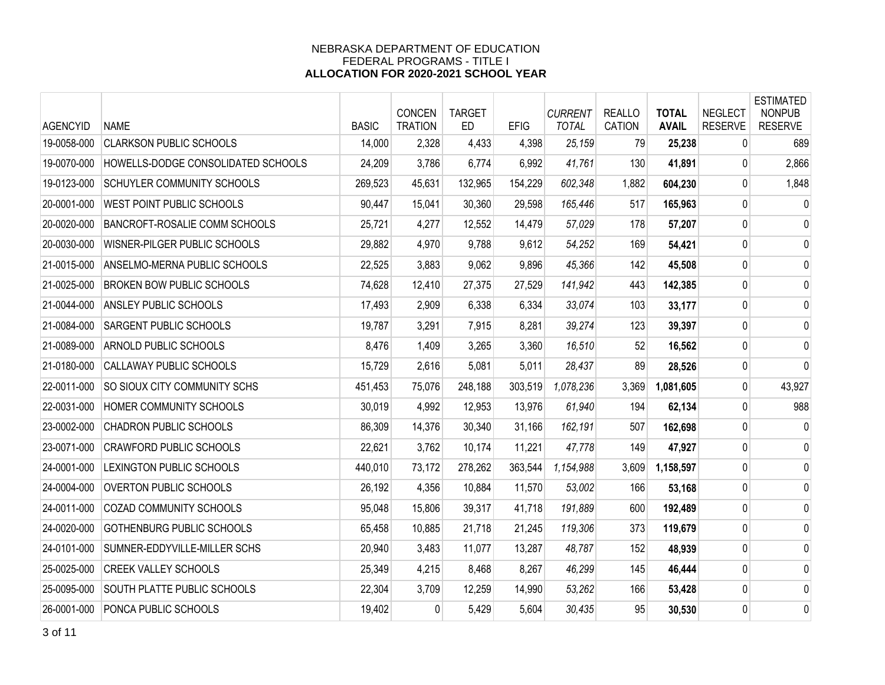| <b>AGENCYID</b> | <b>NAME</b>                          | <b>BASIC</b> | CONCEN<br><b>TRATION</b> | <b>TARGET</b><br><b>ED</b> | <b>EFIG</b> | <b>CURRENT</b><br><b>TOTAL</b> | <b>REALLO</b><br><b>CATION</b> | <b>TOTAL</b><br><b>AVAIL</b> | <b>NEGLECT</b><br><b>RESERVE</b> | <b>ESTIMATED</b><br><b>NONPUB</b><br><b>RESERVE</b> |
|-----------------|--------------------------------------|--------------|--------------------------|----------------------------|-------------|--------------------------------|--------------------------------|------------------------------|----------------------------------|-----------------------------------------------------|
| 19-0058-000     | <b>CLARKSON PUBLIC SCHOOLS</b>       | 14,000       | 2,328                    | 4,433                      | 4,398       | 25,159                         | 79                             | 25,238                       | 0                                | 689                                                 |
| 19-0070-000     | HOWELLS-DODGE CONSOLIDATED SCHOOLS   | 24,209       | 3,786                    | 6,774                      | 6,992       | 41,761                         | 130                            | 41,891                       | $\mathbf{0}$                     | 2,866                                               |
| 19-0123-000     | <b>SCHUYLER COMMUNITY SCHOOLS</b>    | 269,523      | 45,631                   | 132,965                    | 154,229     | 602,348                        | 1,882                          | 604,230                      | 0                                | 1,848                                               |
| 20-0001-000     | WEST POINT PUBLIC SCHOOLS            | 90,447       | 15,041                   | 30,360                     | 29,598      | 165,446                        | 517                            | 165,963                      | 0                                | 0                                                   |
| 20-0020-000     | <b>BANCROFT-ROSALIE COMM SCHOOLS</b> | 25,721       | 4,277                    | 12,552                     | 14,479      | 57,029                         | 178                            | 57,207                       | 0                                | 0                                                   |
| 20-0030-000     | WISNER-PILGER PUBLIC SCHOOLS         | 29,882       | 4,970                    | 9,788                      | 9,612       | 54,252                         | 169                            | 54,421                       | 0                                | 0                                                   |
| 21-0015-000     | ANSELMO-MERNA PUBLIC SCHOOLS         | 22,525       | 3,883                    | 9,062                      | 9,896       | 45,366                         | 142                            | 45,508                       | $\mathbf 0$                      | 0                                                   |
| 21-0025-000     | <b>BROKEN BOW PUBLIC SCHOOLS</b>     | 74,628       | 12,410                   | 27,375                     | 27,529      | 141,942                        | 443                            | 142,385                      | 0                                | 0                                                   |
| 21-0044-000     | <b>ANSLEY PUBLIC SCHOOLS</b>         | 17,493       | 2,909                    | 6,338                      | 6,334       | 33,074                         | 103                            | 33,177                       | 0                                | 0                                                   |
| 21-0084-000     | <b>SARGENT PUBLIC SCHOOLS</b>        | 19,787       | 3,291                    | 7,915                      | 8,281       | 39,274                         | 123                            | 39,397                       | 0                                | 0                                                   |
| 21-0089-000     | <b>ARNOLD PUBLIC SCHOOLS</b>         | 8,476        | 1,409                    | 3,265                      | 3,360       | 16,510                         | 52                             | 16,562                       | $\pmb{0}$                        | 0                                                   |
| 21-0180-000     | <b>CALLAWAY PUBLIC SCHOOLS</b>       | 15,729       | 2,616                    | 5,081                      | 5,011       | 28,437                         | 89                             | 28,526                       | 0                                | 0                                                   |
| 22-0011-000     | <b>SO SIOUX CITY COMMUNITY SCHS</b>  | 451,453      | 75,076                   | 248,188                    | 303,519     | 1.078.236                      | 3,369                          | 1,081,605                    | 0                                | 43,927                                              |
| 22-0031-000     | HOMER COMMUNITY SCHOOLS              | 30,019       | 4,992                    | 12,953                     | 13,976      | 61,940                         | 194                            | 62,134                       | 0                                | 988                                                 |
| 23-0002-000     | <b>CHADRON PUBLIC SCHOOLS</b>        | 86,309       | 14,376                   | 30,340                     | 31,166      | 162,191                        | 507                            | 162,698                      | 0                                | 0                                                   |
| 23-0071-000     | <b>CRAWFORD PUBLIC SCHOOLS</b>       | 22,621       | 3,762                    | 10,174                     | 11,221      | 47,778                         | 149                            | 47,927                       | 0                                | 0                                                   |
| 24-0001-000     | LEXINGTON PUBLIC SCHOOLS             | 440,010      | 73,172                   | 278,262                    | 363,544     | 1,154,988                      | 3,609                          | 1,158,597                    | 0                                | 0                                                   |
| 24-0004-000     | OVERTON PUBLIC SCHOOLS               | 26,192       | 4,356                    | 10,884                     | 11,570      | 53,002                         | 166                            | 53,168                       | 0                                | 0                                                   |
| 24-0011-000     | <b>COZAD COMMUNITY SCHOOLS</b>       | 95,048       | 15,806                   | 39,317                     | 41,718      | 191,889                        | 600                            | 192,489                      | 0                                | 0                                                   |
| 24-0020-000     | GOTHENBURG PUBLIC SCHOOLS            | 65,458       | 10,885                   | 21,718                     | 21,245      | 119,306                        | 373                            | 119,679                      | 0                                | 0                                                   |
| 24-0101-000     | SUMNER-EDDYVILLE-MILLER SCHS         | 20,940       | 3,483                    | 11,077                     | 13,287      | 48,787                         | 152                            | 48,939                       | 0                                | 0                                                   |
| 25-0025-000     | <b>CREEK VALLEY SCHOOLS</b>          | 25,349       | 4,215                    | 8,468                      | 8,267       | 46,299                         | 145                            | 46,444                       | 0                                | 0                                                   |
| 25-0095-000     | <b>SOUTH PLATTE PUBLIC SCHOOLS</b>   | 22,304       | 3,709                    | 12,259                     | 14,990      | 53,262                         | 166                            | 53,428                       | 0                                | 0                                                   |
| 26-0001-000     | PONCA PUBLIC SCHOOLS                 | 19,402       | 0                        | 5,429                      | 5,604       | 30,435                         | 95                             | 30,530                       | $\mathbf 0$                      | 0                                                   |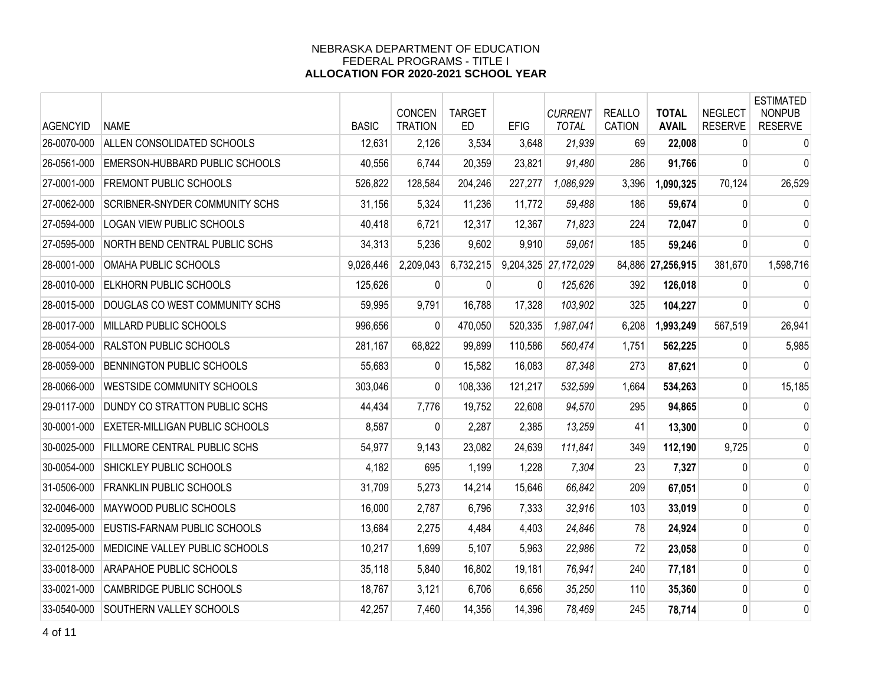| <b>AGENCYID</b> | <b>NAME</b>                           | <b>BASIC</b> | <b>CONCEN</b><br><b>TRATION</b> | <b>TARGET</b><br>ED. | <b>EFIG</b> | <b>CURRENT</b><br><b>TOTAL</b> | <b>REALLO</b><br>CATION | <b>TOTAL</b><br><b>AVAIL</b> | <b>NEGLECT</b><br><b>RESERVE</b> | <b>ESTIMATED</b><br><b>NONPUB</b><br><b>RESERVE</b> |
|-----------------|---------------------------------------|--------------|---------------------------------|----------------------|-------------|--------------------------------|-------------------------|------------------------------|----------------------------------|-----------------------------------------------------|
| 26-0070-000     | ALLEN CONSOLIDATED SCHOOLS            | 12,631       | 2,126                           | 3,534                | 3,648       | 21,939                         | 69                      | 22,008                       | $\mathbf{0}$                     | $\mathbf 0$                                         |
| 26-0561-000     | <b>EMERSON-HUBBARD PUBLIC SCHOOLS</b> | 40,556       | 6,744                           | 20,359               | 23,821      | 91,480                         | 286                     | 91,766                       | 0                                | 0                                                   |
| 27-0001-000     | <b>FREMONT PUBLIC SCHOOLS</b>         | 526,822      | 128,584                         | 204,246              | 227,277     | 1,086,929                      | 3,396                   | 1,090,325                    | 70,124                           | 26,529                                              |
| 27-0062-000     | <b>SCRIBNER-SNYDER COMMUNITY SCHS</b> | 31,156       | 5,324                           | 11,236               | 11,772      | 59,488                         | 186                     | 59,674                       | 0                                | 0                                                   |
| 27-0594-000     | LOGAN VIEW PUBLIC SCHOOLS             | 40,418       | 6,721                           | 12,317               | 12,367      | 71,823                         | 224                     | 72,047                       | $\Omega$                         | 0                                                   |
| 27-0595-000     | NORTH BEND CENTRAL PUBLIC SCHS        | 34,313       | 5,236                           | 9,602                | 9,910       | 59,061                         | 185                     | 59,246                       | $\Omega$                         | $\mathbf{0}$                                        |
| 28-0001-000     | OMAHA PUBLIC SCHOOLS                  | 9,026,446    | 2,209,043                       | 6,732,215            |             | 9,204,325 27,172,029           |                         | 84,886 27,256,915            | 381,670                          | 1,598,716                                           |
| 28-0010-000     | <b>ELKHORN PUBLIC SCHOOLS</b>         | 125,626      | 0                               | 0                    | 0           | 125,626                        | 392                     | 126,018                      | $\mathbf{0}$                     | $\mathbf{0}$                                        |
| 28-0015-000     | DOUGLAS CO WEST COMMUNITY SCHS        | 59,995       | 9,791                           | 16,788               | 17,328      | 103,902                        | 325                     | 104,227                      | $\mathbf{0}$                     | 0                                                   |
| 28-0017-000     | MILLARD PUBLIC SCHOOLS                | 996,656      | 0                               | 470,050              | 520,335     | 1,987,041                      | 6,208                   | 1,993,249                    | 567,519                          | 26,941                                              |
| 28-0054-000     | <b>RALSTON PUBLIC SCHOOLS</b>         | 281,167      | 68,822                          | 99,899               | 110,586     | 560,474                        | 1,751                   | 562,225                      | 0                                | 5,985                                               |
| 28-0059-000     | BENNINGTON PUBLIC SCHOOLS             | 55,683       | $\overline{0}$                  | 15,582               | 16,083      | 87,348                         | 273                     | 87,621                       | 0                                | $\Omega$                                            |
| 28-0066-000     | <b>WESTSIDE COMMUNITY SCHOOLS</b>     | 303,046      | 0                               | 108,336              | 121,217     | 532,599                        | 1,664                   | 534,263                      | $\mathbf{0}$                     | 15,185                                              |
| 29-0117-000     | DUNDY CO STRATTON PUBLIC SCHS         | 44,434       | 7,776                           | 19,752               | 22,608      | 94,570                         | 295                     | 94,865                       | 0                                | $\mathbf 0$                                         |
| 30-0001-000     | <b>EXETER-MILLIGAN PUBLIC SCHOOLS</b> | 8,587        | 0                               | 2,287                | 2,385       | 13,259                         | 41                      | 13,300                       | $\mathbf{0}$                     | 0                                                   |
| 30-0025-000     | <b>FILLMORE CENTRAL PUBLIC SCHS</b>   | 54,977       | 9,143                           | 23,082               | 24,639      | 111,841                        | 349                     | 112,190                      | 9,725                            | 0                                                   |
| 30-0054-000     | SHICKLEY PUBLIC SCHOOLS               | 4,182        | 695                             | 1,199                | 1,228       | 7,304                          | 23                      | 7,327                        | $\mathbf{0}$                     | 0                                                   |
| 31-0506-000     | <b>FRANKLIN PUBLIC SCHOOLS</b>        | 31,709       | 5,273                           | 14,214               | 15,646      | 66,842                         | 209                     | 67,051                       | 0                                | 0                                                   |
| 32-0046-000     | <b>MAYWOOD PUBLIC SCHOOLS</b>         | 16,000       | 2,787                           | 6,796                | 7,333       | 32,916                         | 103                     | 33,019                       | 0                                | 0                                                   |
| 32-0095-000     | EUSTIS-FARNAM PUBLIC SCHOOLS          | 13,684       | 2,275                           | 4,484                | 4,403       | 24,846                         | 78                      | 24,924                       | 0                                | 0                                                   |
| 32-0125-000     | MEDICINE VALLEY PUBLIC SCHOOLS        | 10,217       | 1,699                           | 5,107                | 5,963       | 22,986                         | 72                      | 23,058                       | 0                                | 0                                                   |
| 33-0018-000     | ARAPAHOE PUBLIC SCHOOLS               | 35,118       | 5,840                           | 16,802               | 19,181      | 76,941                         | 240                     | 77,181                       | 0                                | 0                                                   |
| 33-0021-000     | <b>CAMBRIDGE PUBLIC SCHOOLS</b>       | 18,767       | 3,121                           | 6,706                | 6,656       | 35,250                         | 110                     | 35,360                       | 0                                | 0                                                   |
| 33-0540-000     | <b>SOUTHERN VALLEY SCHOOLS</b>        | 42,257       | 7,460                           | 14,356               | 14,396      | 78,469                         | 245                     | 78,714                       | 0                                | 0                                                   |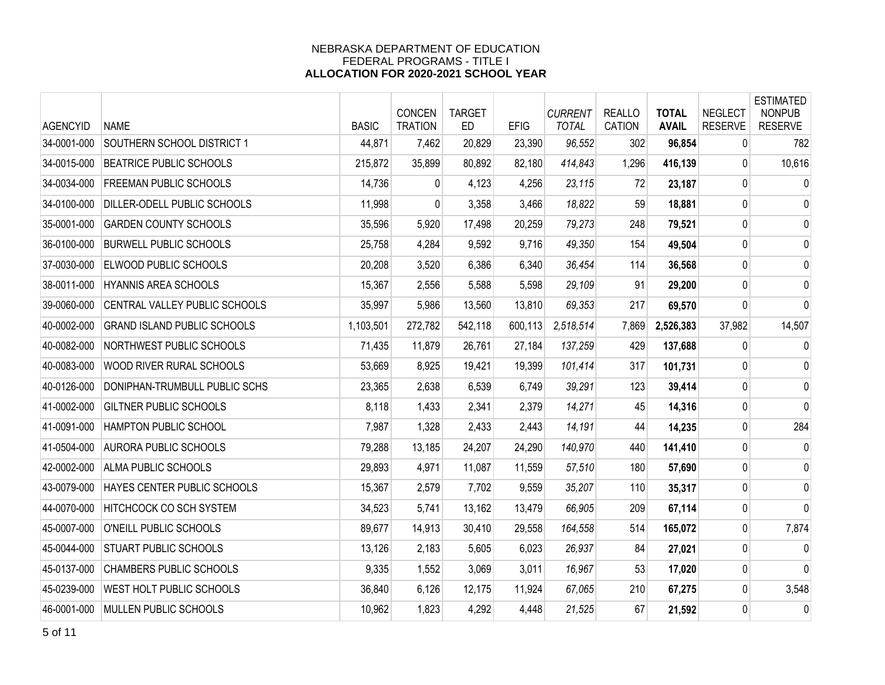| <b>AGENCYID</b> | <b>NAME</b>                        | <b>BASIC</b> | <b>CONCEN</b><br><b>TRATION</b> | <b>TARGET</b><br><b>ED</b> | <b>EFIG</b> | <b>CURRENT</b><br><b>TOTAL</b> | <b>REALLO</b><br><b>CATION</b> | <b>TOTAL</b><br><b>AVAIL</b> | <b>NEGLECT</b><br><b>RESERVE</b> | <b>ESTIMATED</b><br><b>NONPUB</b><br><b>RESERVE</b> |
|-----------------|------------------------------------|--------------|---------------------------------|----------------------------|-------------|--------------------------------|--------------------------------|------------------------------|----------------------------------|-----------------------------------------------------|
| 34-0001-000     | SOUTHERN SCHOOL DISTRICT 1         | 44,871       | 7,462                           | 20,829                     | 23,390      | 96,552                         | 302                            | 96,854                       | 0                                | 782                                                 |
| 34-0015-000     | <b>BEATRICE PUBLIC SCHOOLS</b>     | 215,872      | 35,899                          | 80,892                     | 82,180      | 414,843                        | 1,296                          | 416,139                      | $\mathbf{0}$                     | 10,616                                              |
| 34-0034-000     | <b>FREEMAN PUBLIC SCHOOLS</b>      | 14,736       | $\overline{0}$                  | 4,123                      | 4,256       | 23,115                         | 72                             | 23,187                       | $\mathbf 0$                      | 0                                                   |
| 34-0100-000     | DILLER-ODELL PUBLIC SCHOOLS        | 11,998       | 0                               | 3,358                      | 3,466       | 18,822                         | 59                             | 18,881                       | 0                                | 0                                                   |
| 35-0001-000     | <b>GARDEN COUNTY SCHOOLS</b>       | 35,596       | 5,920                           | 17,498                     | 20,259      | 79,273                         | 248                            | 79,521                       | 0                                | 0                                                   |
| 36-0100-000     | <b>BURWELL PUBLIC SCHOOLS</b>      | 25,758       | 4,284                           | 9,592                      | 9,716       | 49,350                         | 154                            | 49,504                       | 0                                | 0                                                   |
| 37-0030-000     | ELWOOD PUBLIC SCHOOLS              | 20,208       | 3,520                           | 6,386                      | 6,340       | 36,454                         | 114                            | 36,568                       | $\mathbf 0$                      | 0                                                   |
| 38-0011-000     | HYANNIS AREA SCHOOLS               | 15,367       | 2,556                           | 5,588                      | 5,598       | 29,109                         | 91                             | 29,200                       | 0                                | $\mathbf 0$                                         |
| 39-0060-000     | CENTRAL VALLEY PUBLIC SCHOOLS      | 35,997       | 5,986                           | 13,560                     | 13,810      | 69,353                         | 217                            | 69,570                       | 0                                | $\mathbf 0$                                         |
| 40-0002-000     | <b>GRAND ISLAND PUBLIC SCHOOLS</b> | 1,103,501    | 272,782                         | 542,118                    | 600,113     | 2,518,514                      | 7,869                          | 2,526,383                    | 37,982                           | 14,507                                              |
| 40-0082-000     | NORTHWEST PUBLIC SCHOOLS           | 71,435       | 11,879                          | 26,761                     | 27,184      | 137,259                        | 429                            | 137,688                      | 0                                | 0                                                   |
| 40-0083-000     | WOOD RIVER RURAL SCHOOLS           | 53,669       | 8,925                           | 19,421                     | 19,399      | 101,414                        | 317                            | 101,731                      | 0                                | 0                                                   |
| 40-0126-000     | DONIPHAN-TRUMBULL PUBLIC SCHS      | 23,365       | 2,638                           | 6,539                      | 6,749       | 39,291                         | 123                            | 39,414                       | 0                                | 0                                                   |
| 41-0002-000     | GILTNER PUBLIC SCHOOLS             | 8,118        | 1,433                           | 2,341                      | 2,379       | 14,271                         | 45                             | 14,316                       | $\mathbf 0$                      | $\mathbf 0$                                         |
| 41-0091-000     | HAMPTON PUBLIC SCHOOL              | 7,987        | 1,328                           | 2,433                      | 2,443       | 14,191                         | 44                             | 14,235                       | 0                                | 284                                                 |
| 41-0504-000     | <b>AURORA PUBLIC SCHOOLS</b>       | 79,288       | 13,185                          | 24,207                     | 24,290      | 140,970                        | 440                            | 141,410                      | 0                                | 0                                                   |
| 42-0002-000     | ALMA PUBLIC SCHOOLS                | 29,893       | 4,971                           | 11,087                     | 11,559      | 57,510                         | 180                            | 57,690                       | 0                                | 0                                                   |
| 43-0079-000     | HAYES CENTER PUBLIC SCHOOLS        | 15,367       | 2,579                           | 7,702                      | 9,559       | 35,207                         | 110                            | 35,317                       | 0                                | 0                                                   |
| 44-0070-000     | <b>HITCHCOCK CO SCH SYSTEM</b>     | 34,523       | 5,741                           | 13,162                     | 13,479      | 66,905                         | 209                            | 67,114                       | 0                                | $\mathbf{0}$                                        |
| 45-0007-000     | O'NEILL PUBLIC SCHOOLS             | 89,677       | 14,913                          | 30,410                     | 29,558      | 164,558                        | 514                            | 165,072                      | 0                                | 7,874                                               |
| 45-0044-000     | <b>STUART PUBLIC SCHOOLS</b>       | 13,126       | 2,183                           | 5,605                      | 6,023       | 26,937                         | 84                             | 27,021                       | 0                                | 0                                                   |
| 45-0137-000     | <b>CHAMBERS PUBLIC SCHOOLS</b>     | 9,335        | 1,552                           | 3,069                      | 3,011       | 16,967                         | 53                             | 17,020                       | $\mathbf 0$                      | 0                                                   |
| 45-0239-000     | WEST HOLT PUBLIC SCHOOLS           | 36,840       | 6,126                           | 12,175                     | 11,924      | 67,065                         | 210                            | 67,275                       | 0                                | 3,548                                               |
| 46-0001-000     | MULLEN PUBLIC SCHOOLS              | 10,962       | 1,823                           | 4,292                      | 4,448       | 21,525                         | 67                             | 21,592                       | $\mathbf 0$                      | 0                                                   |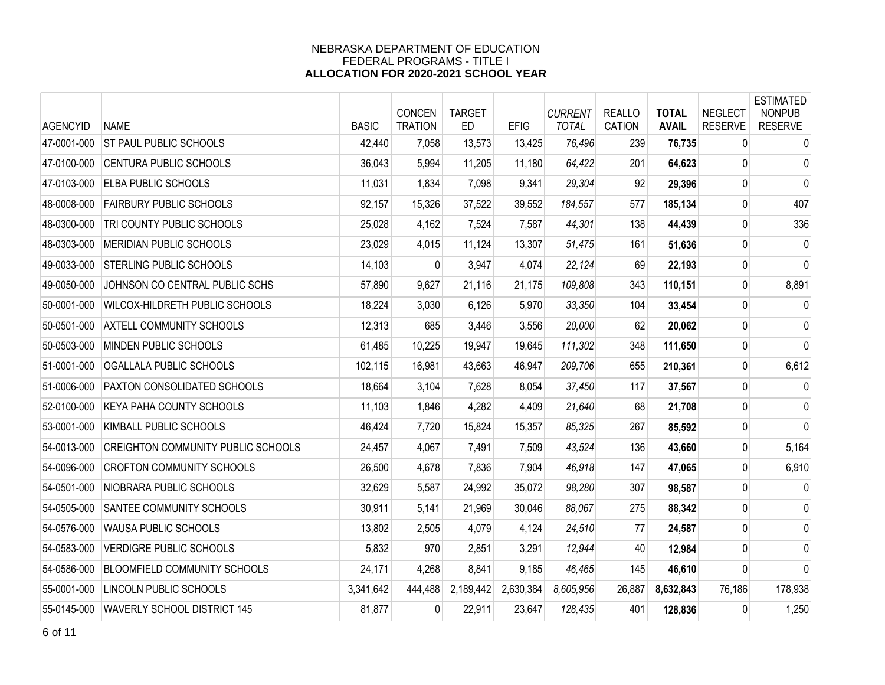| <b>AGENCYID</b> | <b>NAME</b>                         | <b>BASIC</b> | CONCEN<br><b>TRATION</b> | <b>TARGET</b><br>ED. | <b>EFIG</b> | <b>CURRENT</b><br><b>TOTAL</b> | <b>REALLO</b><br>CATION | <b>TOTAL</b><br><b>AVAIL</b> | <b>NEGLECT</b><br><b>RESERVE</b> | <b>ESTIMATED</b><br><b>NONPUB</b><br><b>RESERVE</b> |
|-----------------|-------------------------------------|--------------|--------------------------|----------------------|-------------|--------------------------------|-------------------------|------------------------------|----------------------------------|-----------------------------------------------------|
| 47-0001-000     | <b>ST PAUL PUBLIC SCHOOLS</b>       | 42,440       | 7,058                    | 13,573               | 13,425      | 76,496                         | 239                     | 76,735                       | 0                                | 0                                                   |
| 47-0100-000     | CENTURA PUBLIC SCHOOLS              | 36,043       | 5,994                    | 11,205               | 11,180      | 64,422                         | 201                     | 64,623                       | 0                                | $\mathbf 0$                                         |
| 47-0103-000     | <b>ELBA PUBLIC SCHOOLS</b>          | 11,031       | 1,834                    | 7,098                | 9,341       | 29,304                         | 92                      | 29,396                       | 0                                | $\mathbf{0}$                                        |
| 48-0008-000     | <b>FAIRBURY PUBLIC SCHOOLS</b>      | 92,157       | 15,326                   | 37,522               | 39,552      | 184,557                        | 577                     | 185,134                      | 0                                | 407                                                 |
| 48-0300-000     | TRI COUNTY PUBLIC SCHOOLS           | 25,028       | 4,162                    | 7,524                | 7,587       | 44,301                         | 138                     | 44,439                       | 0                                | 336                                                 |
| 48-0303-000     | MERIDIAN PUBLIC SCHOOLS             | 23,029       | 4,015                    | 11,124               | 13,307      | 51,475                         | 161                     | 51,636                       | 0                                | $\mathbf 0$                                         |
| 49-0033-000     | <b>STERLING PUBLIC SCHOOLS</b>      | 14,103       | $\mathbf{0}$             | 3,947                | 4,074       | 22,124                         | 69                      | 22,193                       | 0                                | $\mathbf 0$                                         |
| 49-0050-000     | JOHNSON CO CENTRAL PUBLIC SCHS      | 57,890       | 9,627                    | 21,116               | 21,175      | 109,808                        | 343                     | 110,151                      | 0                                | 8,891                                               |
| 50-0001-000     | WILCOX-HILDRETH PUBLIC SCHOOLS      | 18,224       | 3,030                    | 6,126                | 5,970       | 33,350                         | 104                     | 33,454                       | 0                                | $\mathbf 0$                                         |
| 50-0501-000     | <b>AXTELL COMMUNITY SCHOOLS</b>     | 12,313       | 685                      | 3,446                | 3,556       | 20,000                         | 62                      | 20,062                       | $\mathbf{0}$                     | 0                                                   |
| 50-0503-000     | MINDEN PUBLIC SCHOOLS               | 61,485       | 10,225                   | 19,947               | 19,645      | 111,302                        | 348                     | 111,650                      | 0                                | $\mathbf 0$                                         |
| 51-0001-000     | OGALLALA PUBLIC SCHOOLS             | 102,115      | 16,981                   | 43,663               | 46,947      | 209,706                        | 655                     | 210,361                      | 0                                | 6,612                                               |
| 51-0006-000     | PAXTON CONSOLIDATED SCHOOLS         | 18,664       | 3,104                    | 7,628                | 8,054       | 37,450                         | 117                     | 37,567                       | 0                                | $\mathbf 0$                                         |
| 52-0100-000     | <b>KEYA PAHA COUNTY SCHOOLS</b>     | 11,103       | 1,846                    | 4,282                | 4,409       | 21,640                         | 68                      | 21,708                       | 0                                | 0                                                   |
| 53-0001-000     | KIMBALL PUBLIC SCHOOLS              | 46,424       | 7,720                    | 15,824               | 15,357      | 85,325                         | 267                     | 85,592                       | 0                                | $\mathbf 0$                                         |
| 54-0013-000     | CREIGHTON COMMUNITY PUBLIC SCHOOLS  | 24,457       | 4,067                    | 7,491                | 7,509       | 43,524                         | 136                     | 43,660                       | 0                                | 5,164                                               |
| 54-0096-000     | <b>CROFTON COMMUNITY SCHOOLS</b>    | 26,500       | 4,678                    | 7,836                | 7,904       | 46,918                         | 147                     | 47,065                       | 0                                | 6,910                                               |
| 54-0501-000     | NIOBRARA PUBLIC SCHOOLS             | 32,629       | 5,587                    | 24,992               | 35,072      | 98,280                         | 307                     | 98,587                       | 0                                | $\mathbf 0$                                         |
| 54-0505-000     | <b>SANTEE COMMUNITY SCHOOLS</b>     | 30,911       | 5,141                    | 21,969               | 30,046      | 88,067                         | 275                     | 88,342                       | 0                                | 0                                                   |
| 54-0576-000     | WAUSA PUBLIC SCHOOLS                | 13,802       | 2,505                    | 4,079                | 4,124       | 24,510                         | 77                      | 24,587                       | 0                                | $\mathbf 0$                                         |
| 54-0583-000     | <b>VERDIGRE PUBLIC SCHOOLS</b>      | 5,832        | 970                      | 2,851                | 3,291       | 12,944                         | 40                      | 12,984                       | 0                                | $\mathbf 0$                                         |
| 54-0586-000     | <b>BLOOMFIELD COMMUNITY SCHOOLS</b> | 24,171       | 4,268                    | 8,841                | 9,185       | 46,465                         | 145                     | 46,610                       | 0                                | $\mathbf{0}$                                        |
| 55-0001-000     | LINCOLN PUBLIC SCHOOLS              | 3,341,642    | 444,488                  | 2,189,442            | 2,630,384   | 8,605,956                      | 26,887                  | 8,632,843                    | 76,186                           | 178,938                                             |
| 55-0145-000     | WAVERLY SCHOOL DISTRICT 145         | 81,877       | $\Omega$                 | 22,911               | 23,647      | 128,435                        | 401                     | 128,836                      | 0                                | 1,250                                               |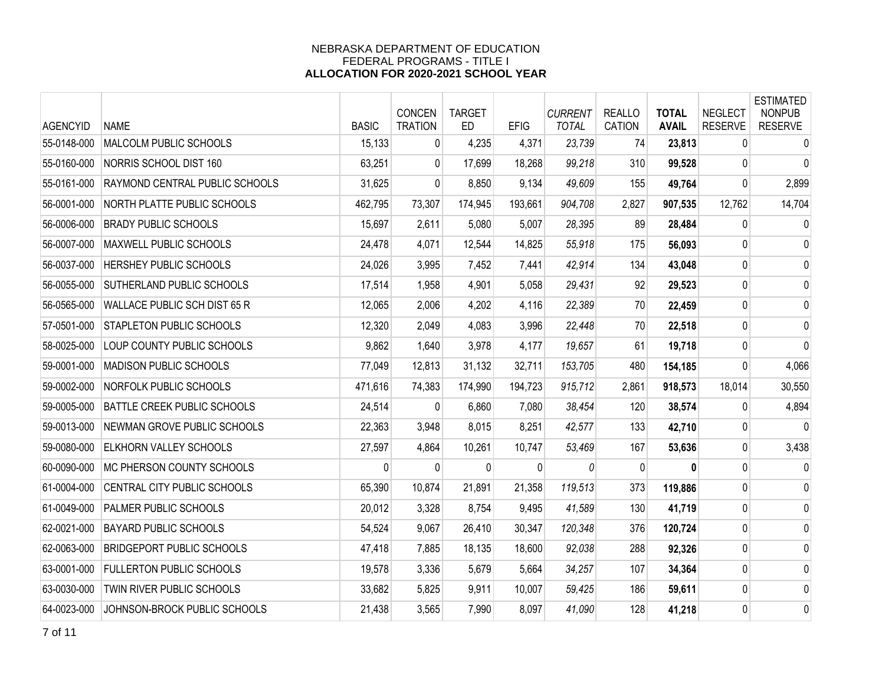| <b>AGENCYID</b> | <b>NAME</b>                           | <b>BASIC</b> | <b>CONCEN</b><br><b>TRATION</b> | <b>TARGET</b><br><b>ED</b> | <b>EFIG</b> | <b>CURRENT</b><br><b>TOTAL</b> | <b>REALLO</b><br>CATION | <b>TOTAL</b><br><b>AVAIL</b> | <b>NEGLECT</b><br><b>RESERVE</b> | <b>ESTIMATED</b><br><b>NONPUB</b><br><b>RESERVE</b> |
|-----------------|---------------------------------------|--------------|---------------------------------|----------------------------|-------------|--------------------------------|-------------------------|------------------------------|----------------------------------|-----------------------------------------------------|
| 55-0148-000     | MALCOLM PUBLIC SCHOOLS                | 15,133       | 0                               | 4,235                      | 4,371       | 23,739                         | 74                      | 23,813                       | $\mathbf{0}$                     | $\mathbf 0$                                         |
| 55-0160-000     | NORRIS SCHOOL DIST 160                | 63,251       | $\overline{0}$                  | 17,699                     | 18,268      | 99,218                         | 310                     | 99,528                       | 0                                | 0                                                   |
| 55-0161-000     | <b>RAYMOND CENTRAL PUBLIC SCHOOLS</b> | 31,625       | 0                               | 8,850                      | 9,134       | 49,609                         | 155                     | 49,764                       | 0                                | 2,899                                               |
| 56-0001-000     | <b>NORTH PLATTE PUBLIC SCHOOLS</b>    | 462,795      | 73,307                          | 174,945                    | 193,661     | 904,708                        | 2,827                   | 907,535                      | 12,762                           | 14,704                                              |
| 56-0006-000     | <b>BRADY PUBLIC SCHOOLS</b>           | 15,697       | 2,611                           | 5,080                      | 5,007       | 28,395                         | 89                      | 28,484                       | $\mathbf{0}$                     | $\mathbf 0$                                         |
| 56-0007-000     | MAXWELL PUBLIC SCHOOLS                | 24,478       | 4,071                           | 12,544                     | 14,825      | 55,918                         | 175                     | 56,093                       | 0                                | 0                                                   |
| 56-0037-000     | HERSHEY PUBLIC SCHOOLS                | 24,026       | 3,995                           | 7,452                      | 7,441       | 42,914                         | 134                     | 43,048                       | 0                                | 0                                                   |
| 56-0055-000     | <b>SUTHERLAND PUBLIC SCHOOLS</b>      | 17,514       | 1,958                           | 4,901                      | 5,058       | 29,431                         | 92                      | 29,523                       | 0                                | $\mathbf 0$                                         |
| 56-0565-000     | WALLACE PUBLIC SCH DIST 65 R          | 12,065       | 2,006                           | 4,202                      | 4,116       | 22,389                         | 70                      | 22,459                       | 0                                | 0                                                   |
| 57-0501-000     | <b>STAPLETON PUBLIC SCHOOLS</b>       | 12,320       | 2,049                           | 4,083                      | 3,996       | 22,448                         | 70                      | 22,518                       | 0                                | 0                                                   |
| 58-0025-000     | LOUP COUNTY PUBLIC SCHOOLS            | 9,862        | 1,640                           | 3,978                      | 4,177       | 19,657                         | 61                      | 19,718                       | 0                                | 0                                                   |
| 59-0001-000     | <b>MADISON PUBLIC SCHOOLS</b>         | 77,049       | 12,813                          | 31,132                     | 32,711      | 153,705                        | 480                     | 154,185                      | 0                                | 4,066                                               |
| 59-0002-000     | NORFOLK PUBLIC SCHOOLS                | 471,616      | 74,383                          | 174,990                    | 194,723     | 915,712                        | 2,861                   | 918,573                      | 18,014                           | 30,550                                              |
| 59-0005-000     | <b>BATTLE CREEK PUBLIC SCHOOLS</b>    | 24,514       | 0                               | 6,860                      | 7,080       | 38,454                         | 120                     | 38,574                       | $\Omega$                         | 4,894                                               |
| 59-0013-000     | NEWMAN GROVE PUBLIC SCHOOLS           | 22,363       | 3,948                           | 8,015                      | 8,251       | 42,577                         | 133                     | 42,710                       | 0                                | $\mathbf 0$                                         |
| 59-0080-000     | <b>ELKHORN VALLEY SCHOOLS</b>         | 27,597       | 4,864                           | 10,261                     | 10,747      | 53,469                         | 167                     | 53,636                       | 0                                | 3,438                                               |
| 60-0090-000     | <b>MC PHERSON COUNTY SCHOOLS</b>      | $\Omega$     | 0                               | 0                          | 0           | 0                              | $\mathbf{0}$            | $\bf{0}$                     | 0                                | 0                                                   |
| 61-0004-000     | CENTRAL CITY PUBLIC SCHOOLS           | 65,390       | 10,874                          | 21,891                     | 21,358      | 119,513                        | 373                     | 119,886                      | $\pmb{0}$                        | 0                                                   |
| 61-0049-000     | <b>PALMER PUBLIC SCHOOLS</b>          | 20,012       | 3,328                           | 8,754                      | 9,495       | 41,589                         | 130                     | 41,719                       | 0                                | 0                                                   |
| 62-0021-000     | <b>BAYARD PUBLIC SCHOOLS</b>          | 54,524       | 9,067                           | 26,410                     | 30,347      | 120,348                        | 376                     | 120,724                      | 0                                | 0                                                   |
| 62-0063-000     | <b>BRIDGEPORT PUBLIC SCHOOLS</b>      | 47,418       | 7,885                           | 18,135                     | 18,600      | 92,038                         | 288                     | 92,326                       | 0                                | 0                                                   |
| 63-0001-000     | <b>FULLERTON PUBLIC SCHOOLS</b>       | 19,578       | 3,336                           | 5,679                      | 5,664       | 34,257                         | 107                     | 34,364                       | 0                                | 0                                                   |
| 63-0030-000     | TWIN RIVER PUBLIC SCHOOLS             | 33,682       | 5,825                           | 9,911                      | 10,007      | 59,425                         | 186                     | 59,611                       | 0                                | 0                                                   |
| 64-0023-000     | JOHNSON-BROCK PUBLIC SCHOOLS          | 21,438       | 3,565                           | 7,990                      | 8,097       | 41,090                         | 128                     | 41,218                       | 0                                | 0                                                   |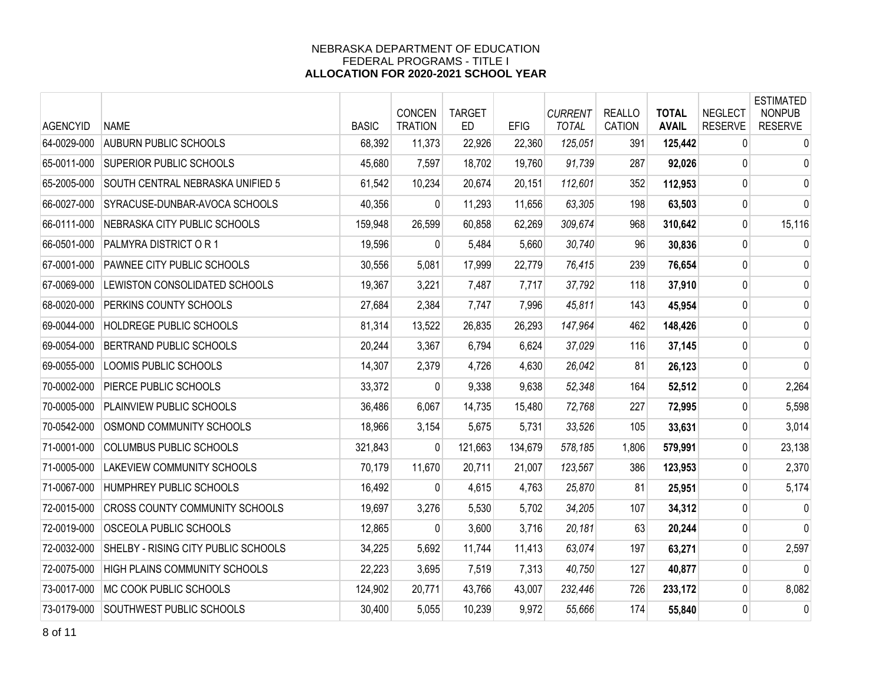| <b>AGENCYID</b> | <b>NAME</b>                           | <b>BASIC</b> | <b>CONCEN</b><br><b>TRATION</b> | <b>TARGET</b><br><b>ED</b> | <b>EFIG</b> | <b>CURRENT</b><br><b>TOTAL</b> | <b>REALLO</b><br>CATION | <b>TOTAL</b><br><b>AVAIL</b> | <b>NEGLECT</b><br><b>RESERVE</b> | <b>ESTIMATED</b><br><b>NONPUB</b><br><b>RESERVE</b> |
|-----------------|---------------------------------------|--------------|---------------------------------|----------------------------|-------------|--------------------------------|-------------------------|------------------------------|----------------------------------|-----------------------------------------------------|
| 64-0029-000     | <b>AUBURN PUBLIC SCHOOLS</b>          | 68,392       | 11,373                          | 22,926                     | 22,360      | 125,051                        | 391                     | 125,442                      | $\mathbf{0}$                     | $\mathbf 0$                                         |
| 65-0011-000     | <b>SUPERIOR PUBLIC SCHOOLS</b>        | 45,680       | 7,597                           | 18,702                     | 19,760      | 91,739                         | 287                     | 92,026                       | 0                                | 0                                                   |
| 65-2005-000     | SOUTH CENTRAL NEBRASKA UNIFIED 5      | 61,542       | 10,234                          | 20,674                     | 20,151      | 112,601                        | 352                     | 112,953                      | $\mathbf 0$                      | 0                                                   |
| 66-0027-000     | SYRACUSE-DUNBAR-AVOCA SCHOOLS         | 40,356       | 0                               | 11,293                     | 11,656      | 63,305                         | 198                     | 63,503                       | 0                                | 0                                                   |
| 66-0111-000     | NEBRASKA CITY PUBLIC SCHOOLS          | 159,948      | 26,599                          | 60,858                     | 62,269      | 309.674                        | 968                     | 310,642                      | 0                                | 15,116                                              |
| 66-0501-000     | PALMYRA DISTRICT OR 1                 | 19,596       | 0                               | 5,484                      | 5,660       | 30,740                         | 96                      | 30,836                       | 0                                | $\mathbf 0$                                         |
| 67-0001-000     | PAWNEE CITY PUBLIC SCHOOLS            | 30,556       | 5,081                           | 17,999                     | 22,779      | 76,415                         | 239                     | 76,654                       | 0                                | 0                                                   |
| 67-0069-000     | LEWISTON CONSOLIDATED SCHOOLS         | 19,367       | 3,221                           | 7,487                      | 7,717       | 37,792                         | 118                     | 37,910                       | 0                                | 0                                                   |
| 68-0020-000     | PERKINS COUNTY SCHOOLS                | 27,684       | 2,384                           | 7,747                      | 7,996       | 45,811                         | 143                     | 45,954                       | 0                                | 0                                                   |
| 69-0044-000     | <b>HOLDREGE PUBLIC SCHOOLS</b>        | 81,314       | 13,522                          | 26,835                     | 26,293      | 147,964                        | 462                     | 148,426                      | 0                                | 0                                                   |
| 69-0054-000     | <b>BERTRAND PUBLIC SCHOOLS</b>        | 20,244       | 3,367                           | 6,794                      | 6,624       | 37,029                         | 116                     | 37,145                       | 0                                | 0                                                   |
| 69-0055-000     | LOOMIS PUBLIC SCHOOLS                 | 14,307       | 2,379                           | 4,726                      | 4,630       | 26,042                         | 81                      | 26,123                       | 0                                | $\mathbf 0$                                         |
| 70-0002-000     | PIERCE PUBLIC SCHOOLS                 | 33,372       | $\Omega$                        | 9,338                      | 9,638       | 52,348                         | 164                     | 52,512                       | 0                                | 2,264                                               |
| 70-0005-000     | PLAINVIEW PUBLIC SCHOOLS              | 36,486       | 6,067                           | 14,735                     | 15,480      | 72,768                         | 227                     | 72,995                       | 0                                | 5,598                                               |
| 70-0542-000     | OSMOND COMMUNITY SCHOOLS              | 18,966       | 3,154                           | 5,675                      | 5,731       | 33,526                         | 105                     | 33,631                       | 0                                | 3,014                                               |
| 71-0001-000     | COLUMBUS PUBLIC SCHOOLS               | 321,843      | 0                               | 121,663                    | 134,679     | 578,185                        | 1,806                   | 579,991                      | 0                                | 23,138                                              |
| 71-0005-000     | <b>LAKEVIEW COMMUNITY SCHOOLS</b>     | 70,179       | 11,670                          | 20,711                     | 21,007      | 123,567                        | 386                     | 123,953                      | 0                                | 2,370                                               |
| 71-0067-000     | HUMPHREY PUBLIC SCHOOLS               | 16,492       | 0                               | 4,615                      | 4,763       | 25,870                         | 81                      | 25,951                       | 0                                | 5,174                                               |
| 72-0015-000     | <b>CROSS COUNTY COMMUNITY SCHOOLS</b> | 19,697       | 3,276                           | 5,530                      | 5,702       | 34,205                         | 107                     | 34,312                       | 0                                | 0                                                   |
| 72-0019-000     | OSCEOLA PUBLIC SCHOOLS                | 12,865       | 0                               | 3,600                      | 3,716       | 20,181                         | 63                      | 20,244                       | 0                                | 0                                                   |
| 72-0032-000     | SHELBY - RISING CITY PUBLIC SCHOOLS   | 34,225       | 5,692                           | 11,744                     | 11,413      | 63,074                         | 197                     | 63,271                       | 0                                | 2,597                                               |
| 72-0075-000     | <b>HIGH PLAINS COMMUNITY SCHOOLS</b>  | 22,223       | 3,695                           | 7,519                      | 7,313       | 40,750                         | 127                     | 40,877                       | 0                                | $\mathbf{0}$                                        |
| 73-0017-000     | MC COOK PUBLIC SCHOOLS                | 124,902      | 20,771                          | 43,766                     | 43,007      | 232,446                        | 726                     | 233,172                      | $\mathbf{0}$                     | 8,082                                               |
| 73-0179-000     | <b>SOUTHWEST PUBLIC SCHOOLS</b>       | 30,400       | 5,055                           | 10,239                     | 9,972       | 55,666                         | 174                     | 55,840                       | $\Omega$                         | 0                                                   |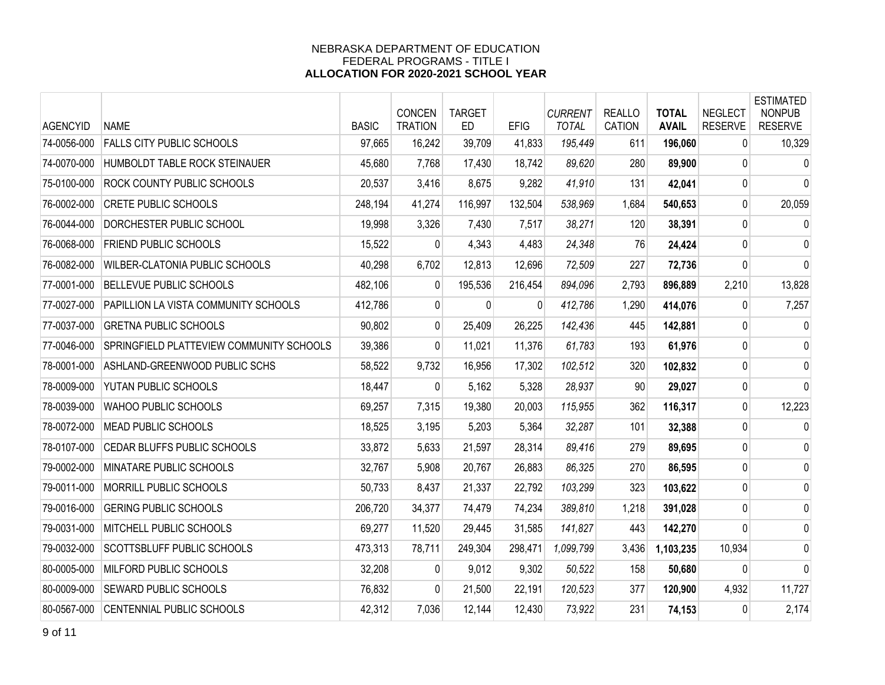| <b>AGENCYID</b> | <b>NAME</b>                              | <b>BASIC</b> | CONCEN<br><b>TRATION</b> | <b>TARGET</b><br><b>ED</b> | <b>EFIG</b> | <b>CURRENT</b><br><b>TOTAL</b> | <b>REALLO</b><br><b>CATION</b> | <b>TOTAL</b><br><b>AVAIL</b> | <b>NEGLECT</b><br><b>RESERVE</b> | <b>ESTIMATED</b><br><b>NONPUB</b><br><b>RESERVE</b> |
|-----------------|------------------------------------------|--------------|--------------------------|----------------------------|-------------|--------------------------------|--------------------------------|------------------------------|----------------------------------|-----------------------------------------------------|
| 74-0056-000     | <b>FALLS CITY PUBLIC SCHOOLS</b>         | 97,665       | 16,242                   | 39,709                     | 41,833      | 195,449                        | 611                            | 196,060                      | $\mathbf{0}$                     | 10,329                                              |
| 74-0070-000     | HUMBOLDT TABLE ROCK STEINAUER            | 45,680       | 7,768                    | 17,430                     | 18,742      | 89,620                         | 280                            | 89,900                       | 0                                | 0                                                   |
| 75-0100-000     | <b>ROCK COUNTY PUBLIC SCHOOLS</b>        | 20,537       | 3,416                    | 8,675                      | 9,282       | 41,910                         | 131                            | 42,041                       | $\overline{0}$                   | $\mathbf{0}$                                        |
| 76-0002-000     | <b>CRETE PUBLIC SCHOOLS</b>              | 248,194      | 41,274                   | 116,997                    | 132,504     | 538,969                        | 1,684                          | 540,653                      | 0                                | 20,059                                              |
| 76-0044-000     | DORCHESTER PUBLIC SCHOOL                 | 19,998       | 3,326                    | 7,430                      | 7,517       | 38,271                         | 120                            | 38,391                       | 0                                | $\mathbf 0$                                         |
| 76-0068-000     | <b>FRIEND PUBLIC SCHOOLS</b>             | 15,522       | $\Omega$                 | 4,343                      | 4,483       | 24,348                         | 76                             | 24,424                       | 0                                | 0                                                   |
| 76-0082-000     | WILBER-CLATONIA PUBLIC SCHOOLS           | 40,298       | 6,702                    | 12,813                     | 12,696      | 72,509                         | 227                            | 72,736                       | 0                                | $\mathbf 0$                                         |
| 77-0001-000     | <b>BELLEVUE PUBLIC SCHOOLS</b>           | 482,106      | $\mathbf{0}$             | 195,536                    | 216,454     | 894,096                        | 2,793                          | 896,889                      | 2,210                            | 13,828                                              |
| 77-0027-000     | PAPILLION LA VISTA COMMUNITY SCHOOLS     | 412,786      | $\overline{0}$           | $\mathbf{0}$               | $\Omega$    | 412,786                        | 1,290                          | 414,076                      | 0                                | 7,257                                               |
| 77-0037-000     | <b>GRETNA PUBLIC SCHOOLS</b>             | 90,802       | $\overline{0}$           | 25,409                     | 26,225      | 142,436                        | 445                            | 142,881                      | 0                                | 0                                                   |
| 77-0046-000     | SPRINGFIELD PLATTEVIEW COMMUNITY SCHOOLS | 39,386       | $\overline{0}$           | 11,021                     | 11,376      | 61,783                         | 193                            | 61,976                       | $\mathbf{0}$                     | $\mathbf 0$                                         |
| 78-0001-000     | ASHLAND-GREENWOOD PUBLIC SCHS            | 58,522       | 9,732                    | 16,956                     | 17,302      | 102,512                        | 320                            | 102,832                      | 0                                | 0                                                   |
| 78-0009-000     | YUTAN PUBLIC SCHOOLS                     | 18,447       | $\Omega$                 | 5,162                      | 5,328       | 28,937                         | 90                             | 29,027                       | 0                                | $\mathbf{0}$                                        |
| 78-0039-000     | WAHOO PUBLIC SCHOOLS                     | 69,257       | 7,315                    | 19,380                     | 20,003      | 115,955                        | 362                            | 116,317                      | 0                                | 12,223                                              |
| 78-0072-000     | <b>MEAD PUBLIC SCHOOLS</b>               | 18,525       | 3,195                    | 5,203                      | 5,364       | 32,287                         | 101                            | 32,388                       | 0                                | $\Omega$                                            |
| 78-0107-000     | CEDAR BLUFFS PUBLIC SCHOOLS              | 33,872       | 5,633                    | 21,597                     | 28,314      | 89,416                         | 279                            | 89,695                       | 0                                | 0                                                   |
| 79-0002-000     | <b>MINATARE PUBLIC SCHOOLS</b>           | 32,767       | 5,908                    | 20,767                     | 26,883      | 86,325                         | 270                            | 86,595                       | $\mathbf{0}$                     | 0                                                   |
| 79-0011-000     | MORRILL PUBLIC SCHOOLS                   | 50,733       | 8,437                    | 21,337                     | 22,792      | 103,299                        | 323                            | 103,622                      | $\mathbf{0}$                     | $\mathbf 0$                                         |
| 79-0016-000     | <b>GERING PUBLIC SCHOOLS</b>             | 206,720      | 34,377                   | 74,479                     | 74,234      | 389,810                        | 1,218                          | 391,028                      | 0                                | $\mathbf 0$                                         |
| 79-0031-000     | MITCHELL PUBLIC SCHOOLS                  | 69,277       | 11,520                   | 29,445                     | 31,585      | 141,827                        | 443                            | 142,270                      | 0                                | 0                                                   |
| 79-0032-000     | SCOTTSBLUFF PUBLIC SCHOOLS               | 473,313      | 78,711                   | 249,304                    | 298,471     | 1,099,799                      | 3,436                          | 1,103,235                    | 10,934                           | 0                                                   |
| 80-0005-000     | MILFORD PUBLIC SCHOOLS                   | 32,208       | $\mathbf{0}$             | 9,012                      | 9,302       | 50,522                         | 158                            | 50,680                       | 0                                | $\mathbf 0$                                         |
| 80-0009-000     | <b>SEWARD PUBLIC SCHOOLS</b>             | 76,832       | $\overline{0}$           | 21,500                     | 22,191      | 120,523                        | 377                            | 120,900                      | 4,932                            | 11,727                                              |
| 80-0567-000     | CENTENNIAL PUBLIC SCHOOLS                | 42,312       | 7,036                    | 12,144                     | 12,430      | 73,922                         | 231                            | 74,153                       | 0                                | 2,174                                               |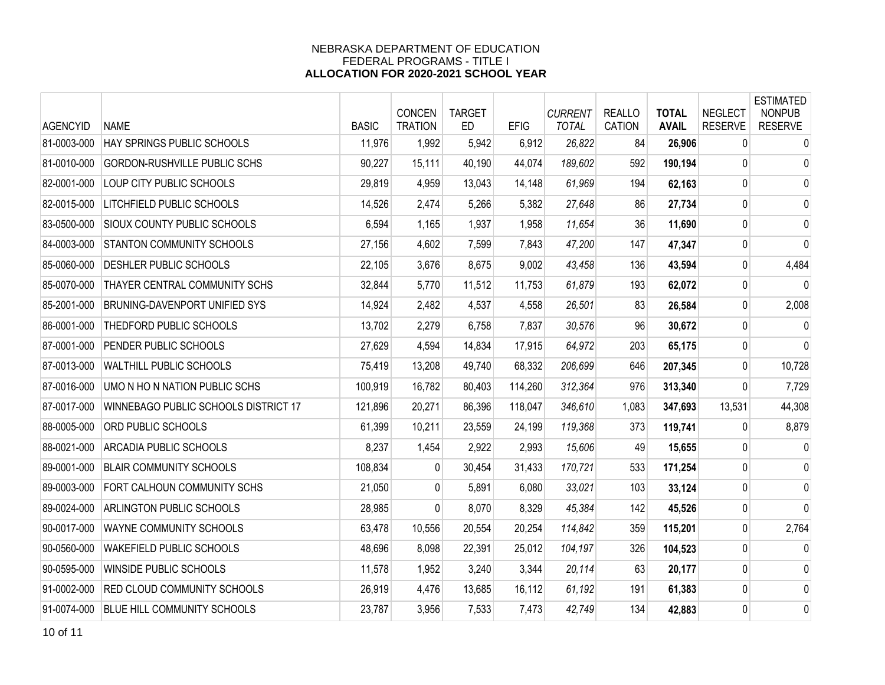| <b>AGENCYID</b> | <b>NAME</b>                          | <b>BASIC</b> | CONCEN<br><b>TRATION</b> | <b>TARGET</b><br>ED. | <b>EFIG</b> | <b>CURRENT</b><br><b>TOTAL</b> | <b>REALLO</b><br>CATION | <b>TOTAL</b><br><b>AVAIL</b> | <b>NEGLECT</b><br><b>RESERVE</b> | <b>ESTIMATED</b><br><b>NONPUB</b><br><b>RESERVE</b> |
|-----------------|--------------------------------------|--------------|--------------------------|----------------------|-------------|--------------------------------|-------------------------|------------------------------|----------------------------------|-----------------------------------------------------|
| 81-0003-000     | HAY SPRINGS PUBLIC SCHOOLS           | 11,976       | 1,992                    | 5,942                | 6,912       | 26,822                         | 84                      | 26,906                       | $\mathbf{0}$                     | 0                                                   |
| 81-0010-000     | <b>GORDON-RUSHVILLE PUBLIC SCHS</b>  | 90,227       | 15,111                   | 40,190               | 44,074      | 189,602                        | 592                     | 190,194                      | 0                                | $\mathbf 0$                                         |
| 82-0001-000     | LOUP CITY PUBLIC SCHOOLS             | 29,819       | 4,959                    | 13,043               | 14,148      | 61,969                         | 194                     | 62,163                       | 0                                | $\mathbf 0$                                         |
| 82-0015-000     | <b>LITCHFIELD PUBLIC SCHOOLS</b>     | 14,526       | 2,474                    | 5,266                | 5,382       | 27,648                         | 86                      | 27,734                       | 0                                | $\mathbf 0$                                         |
| 83-0500-000     | <b>SIOUX COUNTY PUBLIC SCHOOLS</b>   | 6,594        | 1,165                    | 1,937                | 1,958       | 11,654                         | 36                      | 11,690                       | 0                                | 0                                                   |
| 84-0003-000     | <b>STANTON COMMUNITY SCHOOLS</b>     | 27,156       | 4,602                    | 7,599                | 7,843       | 47,200                         | 147                     | 47,347                       | 0                                | $\mathbf 0$                                         |
| 85-0060-000     | <b>DESHLER PUBLIC SCHOOLS</b>        | 22,105       | 3,676                    | 8,675                | 9,002       | 43,458                         | 136                     | 43,594                       | 0                                | 4,484                                               |
| 85-0070-000     | THAYER CENTRAL COMMUNITY SCHS        | 32,844       | 5,770                    | 11,512               | 11,753      | 61,879                         | 193                     | 62,072                       | 0                                | 0                                                   |
| 85-2001-000     | BRUNING-DAVENPORT UNIFIED SYS        | 14,924       | 2,482                    | 4,537                | 4,558       | 26,501                         | 83                      | 26,584                       | 0                                | 2,008                                               |
| 86-0001-000     | THEDFORD PUBLIC SCHOOLS              | 13,702       | 2,279                    | 6,758                | 7,837       | 30,576                         | 96                      | 30,672                       | $\mathbf{0}$                     | 0                                                   |
| 87-0001-000     | PENDER PUBLIC SCHOOLS                | 27,629       | 4,594                    | 14,834               | 17,915      | 64,972                         | 203                     | 65,175                       | 0                                | $\mathbf 0$                                         |
| 87-0013-000     | WALTHILL PUBLIC SCHOOLS              | 75,419       | 13,208                   | 49,740               | 68,332      | 206,699                        | 646                     | 207,345                      | 0                                | 10,728                                              |
| 87-0016-000     | UMO N HO N NATION PUBLIC SCHS        | 100,919      | 16,782                   | 80,403               | 114,260     | 312,364                        | 976                     | 313,340                      | 0                                | 7,729                                               |
| 87-0017-000     | WINNEBAGO PUBLIC SCHOOLS DISTRICT 17 | 121,896      | 20,271                   | 86,396               | 118,047     | 346,610                        | 1,083                   | 347,693                      | 13,531                           | 44,308                                              |
| 88-0005-000     | ORD PUBLIC SCHOOLS                   | 61,399       | 10,211                   | 23,559               | 24,199      | 119,368                        | 373                     | 119,741                      | 0                                | 8,879                                               |
| 88-0021-000     | <b>ARCADIA PUBLIC SCHOOLS</b>        | 8,237        | 1,454                    | 2,922                | 2,993       | 15,606                         | 49                      | 15,655                       | 0                                | 0                                                   |
| 89-0001-000     | <b>BLAIR COMMUNITY SCHOOLS</b>       | 108,834      | $\overline{0}$           | 30,454               | 31,433      | 170,721                        | 533                     | 171,254                      | 0                                | 0                                                   |
| 89-0003-000     | FORT CALHOUN COMMUNITY SCHS          | 21,050       | 0                        | 5,891                | 6,080       | 33,021                         | 103                     | 33,124                       | 0                                | $\mathbf 0$                                         |
| 89-0024-000     | <b>ARLINGTON PUBLIC SCHOOLS</b>      | 28,985       | 0                        | 8,070                | 8,329       | 45,384                         | 142                     | 45,526                       | 0                                | $\mathbf{0}$                                        |
| 90-0017-000     | WAYNE COMMUNITY SCHOOLS              | 63,478       | 10,556                   | 20,554               | 20,254      | 114,842                        | 359                     | 115,201                      | 0                                | 2,764                                               |
| 90-0560-000     | WAKEFIELD PUBLIC SCHOOLS             | 48,696       | 8,098                    | 22,391               | 25,012      | 104,197                        | 326                     | 104,523                      | 0                                | $\mathbf 0$                                         |
| 90-0595-000     | WINSIDE PUBLIC SCHOOLS               | 11,578       | 1,952                    | 3,240                | 3,344       | 20,114                         | 63                      | 20,177                       | 0                                | 0                                                   |
| 91-0002-000     | <b>RED CLOUD COMMUNITY SCHOOLS</b>   | 26,919       | 4,476                    | 13,685               | 16,112      | 61,192                         | 191                     | 61,383                       | 0                                | 0                                                   |
| 91-0074-000     | <b>BLUE HILL COMMUNITY SCHOOLS</b>   | 23,787       | 3,956                    | 7,533                | 7,473       | 42,749                         | 134                     | 42,883                       | 0                                | $\mathbf 0$                                         |